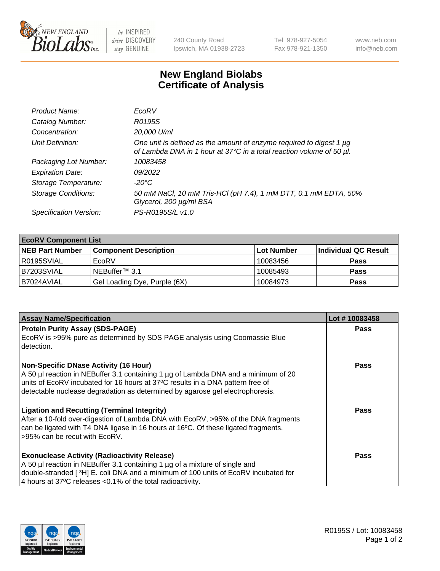

 $be$  INSPIRED drive DISCOVERY stay GENUINE

240 County Road Ipswich, MA 01938-2723 Tel 978-927-5054 Fax 978-921-1350 www.neb.com info@neb.com

## **New England Biolabs Certificate of Analysis**

| Product Name:              | EcoRV                                                                                                                                       |
|----------------------------|---------------------------------------------------------------------------------------------------------------------------------------------|
| Catalog Number:            | R0195S                                                                                                                                      |
| Concentration:             | 20,000 U/ml                                                                                                                                 |
| Unit Definition:           | One unit is defined as the amount of enzyme required to digest 1 µg<br>of Lambda DNA in 1 hour at 37°C in a total reaction volume of 50 µl. |
| Packaging Lot Number:      | 10083458                                                                                                                                    |
| <b>Expiration Date:</b>    | 09/2022                                                                                                                                     |
| Storage Temperature:       | -20°C                                                                                                                                       |
| <b>Storage Conditions:</b> | 50 mM NaCl, 10 mM Tris-HCl (pH 7.4), 1 mM DTT, 0.1 mM EDTA, 50%<br>Glycerol, 200 µg/ml BSA                                                  |
| Specification Version:     | PS-R0195S/L v1.0                                                                                                                            |

| <b>EcoRV Component List</b> |                              |            |                      |  |  |
|-----------------------------|------------------------------|------------|----------------------|--|--|
| <b>NEB Part Number</b>      | <b>Component Description</b> | Lot Number | Individual QC Result |  |  |
| I R0195SVIAL                | EcoRV                        | 10083456   | <b>Pass</b>          |  |  |
| B7203SVIAL                  | INEBuffer™ 3.1               | 10085493   | <b>Pass</b>          |  |  |
| B7024AVIAL                  | Gel Loading Dye, Purple (6X) | 10084973   | <b>Pass</b>          |  |  |

| <b>Assay Name/Specification</b>                                                                                                                                                                                                                                                                       | Lot #10083458 |
|-------------------------------------------------------------------------------------------------------------------------------------------------------------------------------------------------------------------------------------------------------------------------------------------------------|---------------|
| <b>Protein Purity Assay (SDS-PAGE)</b><br>EcoRV is >95% pure as determined by SDS PAGE analysis using Coomassie Blue<br>detection.                                                                                                                                                                    | <b>Pass</b>   |
| <b>Non-Specific DNase Activity (16 Hour)</b><br>A 50 µl reaction in NEBuffer 3.1 containing 1 µg of Lambda DNA and a minimum of 20<br>units of EcoRV incubated for 16 hours at 37°C results in a DNA pattern free of<br>detectable nuclease degradation as determined by agarose gel electrophoresis. | Pass          |
| <b>Ligation and Recutting (Terminal Integrity)</b><br>After a 10-fold over-digestion of Lambda DNA with EcoRV, >95% of the DNA fragments<br>can be ligated with T4 DNA ligase in 16 hours at 16 $\degree$ C. Of these ligated fragments,<br>l >95% can be recut with EcoRV.                           | Pass          |
| <b>Exonuclease Activity (Radioactivity Release)</b><br>A 50 µl reaction in NEBuffer 3.1 containing 1 µg of a mixture of single and<br>double-stranded [ <sup>3</sup> H] E. coli DNA and a minimum of 100 units of EcoRV incubated for<br>4 hours at 37°C releases < 0.1% of the total radioactivity.  | Pass          |